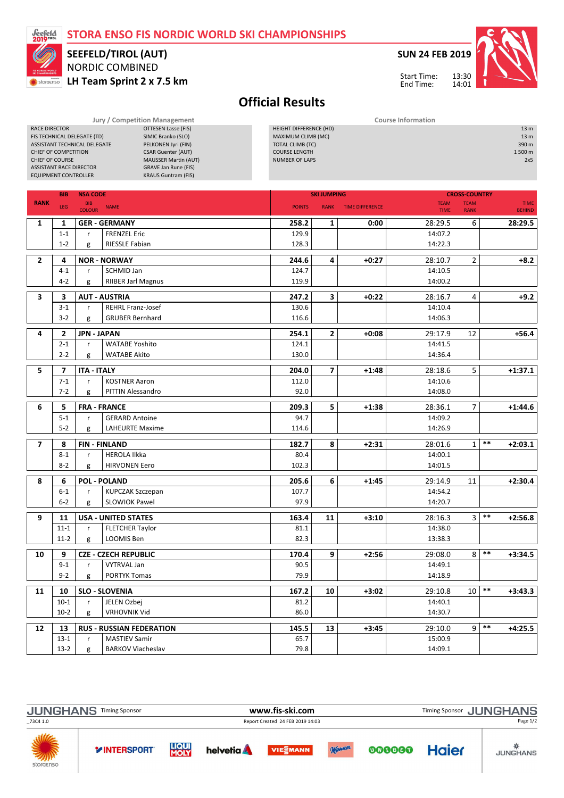## STORA ENSO FIS NORDIC WORLD SKI CHAMPIONSHIPS



## NORDIC COMBINED SEEFELD/TIROL (AUT)

RACE DIRECTOR **CONTRIGHT CONTRIGENT**<br>FIS TECHNICAL DELEGATE (TD) SIMIC Branko (SLO)

LH Team Sprint 2 x 7.5 km

SUN 24 FEB 2019

Start Time: End Time:

HEIGHT DIFFERENCE (HD) 13 m  $MAMUM CLIME(MC)$ <br> $MAMMM CLIME(MC)$ <br> $TOLU LUMR (TC)$ <br> $330 m$ 



Official Results

Jury / Competition Management **Course Information** 

|                | CHIEF OF COMPETITION<br><b>CHIEF OF COURSE</b><br><b>ASSISTANT RACE DIRECTOR</b><br><b>EQUIPMENT CONTROLLER</b> | FIS TECHNICAL DELEGATE (TD)<br>ASSISTANT TECHNICAL DELEGATE | SIMIC Branko (SLO)<br>PELKONEN Jyri (FIN)<br><b>CSAR Guenter (AUT)</b><br><b>MAUSSER Martin (AUT)</b><br><b>GRAVE Jan Rune (FIS)</b><br><b>KRAUS Guntram (FIS)</b> | MAXIMUM CLIMB (MC)<br><b>TOTAL CLIMB (TC)</b><br><b>COURSE LENGTH</b><br><b>NUMBER OF LAPS</b> |                         |                        |                            |                            |                      | 13 <sub>m</sub><br>390 m<br>1500 m<br>2x5 |
|----------------|-----------------------------------------------------------------------------------------------------------------|-------------------------------------------------------------|--------------------------------------------------------------------------------------------------------------------------------------------------------------------|------------------------------------------------------------------------------------------------|-------------------------|------------------------|----------------------------|----------------------------|----------------------|-------------------------------------------|
|                | <b>NSA CODE</b><br><b>BIB</b>                                                                                   |                                                             |                                                                                                                                                                    |                                                                                                | <b>SKI JUMPING</b>      |                        |                            |                            | <b>CROSS-COUNTRY</b> |                                           |
| <b>RANK</b>    | LEG                                                                                                             | <b>BIB</b><br><b>COLOUR</b>                                 | <b>NAME</b>                                                                                                                                                        | <b>POINTS</b>                                                                                  | <b>RANK</b>             | <b>TIME DIFFERENCE</b> | <b>TEAM</b><br><b>TIME</b> | <b>TEAM</b><br><b>RANK</b> |                      | <b>TIME</b><br><b>BEHIND</b>              |
| 1              | 1                                                                                                               |                                                             | <b>GER - GERMANY</b>                                                                                                                                               | 258.2                                                                                          | 1                       | 0:00                   | 28:29.5                    | 6                          |                      | 28:29.5                                   |
|                | $1 - 1$                                                                                                         | r                                                           | <b>FRENZEL Eric</b>                                                                                                                                                | 129.9                                                                                          |                         |                        | 14:07.2                    |                            |                      |                                           |
|                | $1 - 2$                                                                                                         | g                                                           | <b>RIESSLE Fabian</b>                                                                                                                                              | 128.3                                                                                          |                         |                        | 14:22.3                    |                            |                      |                                           |
| $\overline{2}$ | 4                                                                                                               |                                                             | <b>NOR - NORWAY</b>                                                                                                                                                | 244.6                                                                                          | 4                       | $+0:27$                | 28:10.7                    | $\overline{2}$             |                      | $+8.2$                                    |
|                | $4 - 1$                                                                                                         | r                                                           | SCHMID Jan                                                                                                                                                         | 124.7                                                                                          |                         |                        | 14:10.5                    |                            |                      |                                           |
|                | $4 - 2$                                                                                                         | g                                                           | <b>RIIBER Jarl Magnus</b>                                                                                                                                          | 119.9                                                                                          |                         |                        | 14:00.2                    |                            |                      |                                           |
| 3              | 3<br><b>AUT - AUSTRIA</b>                                                                                       |                                                             |                                                                                                                                                                    | 247.2                                                                                          | $\overline{\mathbf{3}}$ | $+0:22$                | 28:16.7                    | 4                          |                      | $+9.2$                                    |
|                | $3-1$                                                                                                           | r                                                           | <b>REHRL Franz-Josef</b>                                                                                                                                           | 130.6                                                                                          |                         |                        | 14:10.4                    |                            |                      |                                           |
|                | $3-2$                                                                                                           | g                                                           | <b>GRUBER Bernhard</b>                                                                                                                                             | 116.6                                                                                          |                         |                        | 14:06.3                    |                            |                      |                                           |
|                |                                                                                                                 |                                                             |                                                                                                                                                                    |                                                                                                |                         |                        |                            |                            |                      |                                           |
| 4              | $\mathbf{2}$                                                                                                    | <b>JPN - JAPAN</b>                                          |                                                                                                                                                                    | 254.1                                                                                          | $\mathbf{2}$            | $+0:08$                | 29:17.9                    | 12                         |                      | $+56.4$                                   |
|                | $2 - 1$                                                                                                         | r.                                                          | <b>WATABE Yoshito</b>                                                                                                                                              | 124.1                                                                                          |                         |                        | 14:41.5                    |                            |                      |                                           |
|                | $2 - 2$                                                                                                         | g                                                           | <b>WATABE Akito</b>                                                                                                                                                | 130.0                                                                                          |                         |                        | 14:36.4                    |                            |                      |                                           |
| 5              | $\overline{ }$                                                                                                  | <b>ITA - ITALY</b>                                          |                                                                                                                                                                    | 204.0                                                                                          | $\overline{\mathbf{z}}$ | $+1:48$                | 28:18.6                    | 5                          |                      | $+1:37.1$                                 |
|                | $7 - 1$                                                                                                         | r.                                                          | <b>KOSTNER Aaron</b>                                                                                                                                               | 112.0                                                                                          |                         |                        | 14:10.6                    |                            |                      |                                           |
|                | $7 - 2$                                                                                                         | g                                                           | PITTIN Alessandro                                                                                                                                                  | 92.0                                                                                           |                         |                        | 14:08.0                    |                            |                      |                                           |
| 6              | 5                                                                                                               |                                                             | <b>FRA - FRANCE</b>                                                                                                                                                | 209.3                                                                                          | 5                       | $+1:38$                | 28:36.1                    | 7                          |                      | $+1:44.6$                                 |
|                | $5 - 1$                                                                                                         | r                                                           | <b>GERARD Antoine</b>                                                                                                                                              | 94.7                                                                                           |                         |                        | 14:09.2                    |                            |                      |                                           |
|                | $5 - 2$                                                                                                         | g                                                           | <b>LAHEURTE Maxime</b>                                                                                                                                             | 114.6                                                                                          |                         |                        | 14:26.9                    |                            |                      |                                           |
| $\overline{ }$ | 8                                                                                                               |                                                             | <b>FIN-FINLAND</b>                                                                                                                                                 | 182.7                                                                                          | 8                       | $+2:31$                | 28:01.6                    | $\mathbf{1}$               | $***$                | $+2:03.1$                                 |
|                | $8 - 1$                                                                                                         | r                                                           | <b>HEROLA Ilkka</b>                                                                                                                                                | 80.4                                                                                           |                         |                        | 14:00.1                    |                            |                      |                                           |
|                | $8 - 2$                                                                                                         | g                                                           | <b>HIRVONEN Eero</b>                                                                                                                                               | 102.3                                                                                          |                         |                        | 14:01.5                    |                            |                      |                                           |
|                | <b>POL - POLAND</b>                                                                                             |                                                             |                                                                                                                                                                    |                                                                                                |                         |                        |                            |                            |                      |                                           |
| 8              | 6<br>$6-1$                                                                                                      | r                                                           | <b>KUPCZAK Szczepan</b>                                                                                                                                            | 205.6<br>107.7                                                                                 | 6                       | $+1:45$                | 29:14.9<br>14:54.2         | 11                         |                      | $+2:30.4$                                 |
|                | $6-2$                                                                                                           | g                                                           | <b>SLOWIOK Pawel</b>                                                                                                                                               | 97.9                                                                                           |                         |                        | 14:20.7                    |                            |                      |                                           |
|                |                                                                                                                 |                                                             |                                                                                                                                                                    |                                                                                                |                         |                        |                            |                            |                      |                                           |
| 9              | 11                                                                                                              |                                                             | <b>USA - UNITED STATES</b>                                                                                                                                         | 163.4                                                                                          | 11                      | $+3:10$                | 28:16.3                    | 3                          | $***$                | $+2:56.8$                                 |
|                | $11 - 1$                                                                                                        | r                                                           | <b>FLETCHER Taylor</b>                                                                                                                                             | 81.1                                                                                           |                         |                        | 14:38.0                    |                            |                      |                                           |
|                | $11-2$                                                                                                          | g                                                           | LOOMIS Ben                                                                                                                                                         | 82.3                                                                                           |                         |                        | 13:38.3                    |                            |                      |                                           |
| 10             | 9                                                                                                               |                                                             | <b>CZE - CZECH REPUBLIC</b>                                                                                                                                        | 170.4                                                                                          | 9                       | $+2:56$                | 29:08.0                    | 8                          | $***$                | $+3:34.5$                                 |
|                | $9 - 1$                                                                                                         | r                                                           | <b>VYTRVAL Jan</b>                                                                                                                                                 | 90.5                                                                                           |                         |                        | 14:49.1                    |                            |                      |                                           |
|                | $9-2$                                                                                                           | g                                                           | <b>PORTYK Tomas</b>                                                                                                                                                | 79.9                                                                                           |                         |                        | 14:18.9                    |                            |                      |                                           |
| 11             | 10                                                                                                              |                                                             | <b>SLO - SLOVENIA</b>                                                                                                                                              | 167.2                                                                                          | 10                      | $+3:02$                | 29:10.8                    | 10                         | $***$                | $+3:43.3$                                 |
|                | $10-1$                                                                                                          | r                                                           | JELEN Ozbej                                                                                                                                                        | 81.2                                                                                           |                         |                        | 14:40.1                    |                            |                      |                                           |
|                | $10-2$                                                                                                          | g                                                           | <b>VRHOVNIK Vid</b>                                                                                                                                                | 86.0                                                                                           |                         |                        | 14:30.7                    |                            |                      |                                           |
| 12             | 13                                                                                                              |                                                             | <b>RUS - RUSSIAN FEDERATION</b>                                                                                                                                    | 145.5                                                                                          | 13                      | $+3:45$                | 29:10.0                    | 9                          | $\ast\ast$           | $+4:25.5$                                 |
|                | $13-1$                                                                                                          | r                                                           | <b>MASTIEV Samir</b>                                                                                                                                               | 65.7                                                                                           |                         |                        | 15:00.9                    |                            |                      |                                           |
|                | $13-2$                                                                                                          | g                                                           | <b>BARKOV Viacheslav</b>                                                                                                                                           | 79.8                                                                                           |                         |                        | 14:09.1                    |                            |                      |                                           |